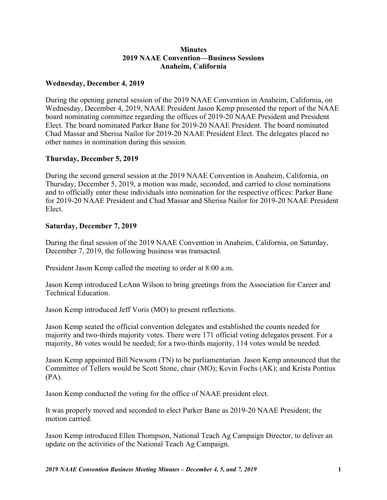## **Minutes 2019 NAAE Convention—Business Sessions Anaheim, California**

## **Wednesday, December 4, 2019**

During the opening general session of the 2019 NAAE Convention in Anaheim, California, on Wednesday, December 4, 2019, NAAE President Jason Kemp presented the report of the NAAE board nominating committee regarding the offices of 2019-20 NAAE President and President Elect. The board nominated Parker Bane for 2019-20 NAAE President. The board nominated Chad Massar and Sherisa Nailor for 2019-20 NAAE President Elect. The delegates placed no other names in nomination during this session.

## **Thursday, December 5, 2019**

During the second general session at the 2019 NAAE Convention in Anaheim, California, on Thursday, December 5, 2019, a motion was made, seconded, and carried to close nominations and to officially enter these individuals into nomination for the respective offices: Parker Bane for 2019-20 NAAE President and Chad Massar and Sherisa Nailor for 2019-20 NAAE President Elect.

## **Saturday, December 7, 2019**

During the final session of the 2019 NAAE Convention in Anaheim, California, on Saturday, December 7, 2019, the following business was transacted.

President Jason Kemp called the meeting to order at 8:00 a.m.

Jason Kemp introduced LeAnn Wilson to bring greetings from the Association for Career and Technical Education.

Jason Kemp introduced Jeff Voris (MO) to present reflections.

Jason Kemp seated the official convention delegates and established the counts needed for majority and two-thirds majority votes. There were 171 official voting delegates present. For a majority, 86 votes would be needed; for a two-thirds majority, 114 votes would be needed.

Jason Kemp appointed Bill Newsom (TN) to be parliamentarian. Jason Kemp announced that the Committee of Tellers would be Scott Stone, chair (MO); Kevin Fochs (AK); and Krista Pontius (PA).

Jason Kemp conducted the voting for the office of NAAE president elect.

It was properly moved and seconded to elect Parker Bane as 2019-20 NAAE President; the motion carried.

Jason Kemp introduced Ellen Thompson, National Teach Ag Campaign Director, to deliver an update on the activities of the National Teach Ag Campaign.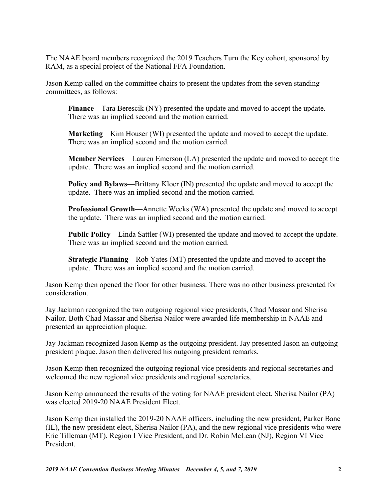The NAAE board members recognized the 2019 Teachers Turn the Key cohort, sponsored by RAM, as a special project of the National FFA Foundation.

Jason Kemp called on the committee chairs to present the updates from the seven standing committees, as follows:

**Finance**—Tara Berescik (NY) presented the update and moved to accept the update. There was an implied second and the motion carried.

**Marketing**—Kim Houser (WI) presented the update and moved to accept the update. There was an implied second and the motion carried.

**Member Services**—Lauren Emerson (LA) presented the update and moved to accept the update. There was an implied second and the motion carried.

**Policy and Bylaws**—Brittany Kloer (IN) presented the update and moved to accept the update. There was an implied second and the motion carried.

**Professional Growth**—Annette Weeks (WA) presented the update and moved to accept the update. There was an implied second and the motion carried.

**Public Policy**—Linda Sattler (WI) presented the update and moved to accept the update. There was an implied second and the motion carried.

**Strategic Planning**—Rob Yates (MT) presented the update and moved to accept the update. There was an implied second and the motion carried.

Jason Kemp then opened the floor for other business. There was no other business presented for consideration.

Jay Jackman recognized the two outgoing regional vice presidents, Chad Massar and Sherisa Nailor. Both Chad Massar and Sherisa Nailor were awarded life membership in NAAE and presented an appreciation plaque.

Jay Jackman recognized Jason Kemp as the outgoing president. Jay presented Jason an outgoing president plaque. Jason then delivered his outgoing president remarks.

Jason Kemp then recognized the outgoing regional vice presidents and regional secretaries and welcomed the new regional vice presidents and regional secretaries.

Jason Kemp announced the results of the voting for NAAE president elect. Sherisa Nailor (PA) was elected 2019-20 NAAE President Elect.

Jason Kemp then installed the 2019-20 NAAE officers, including the new president, Parker Bane (IL), the new president elect, Sherisa Nailor (PA), and the new regional vice presidents who were Eric Tilleman (MT), Region I Vice President, and Dr. Robin McLean (NJ), Region VI Vice President.